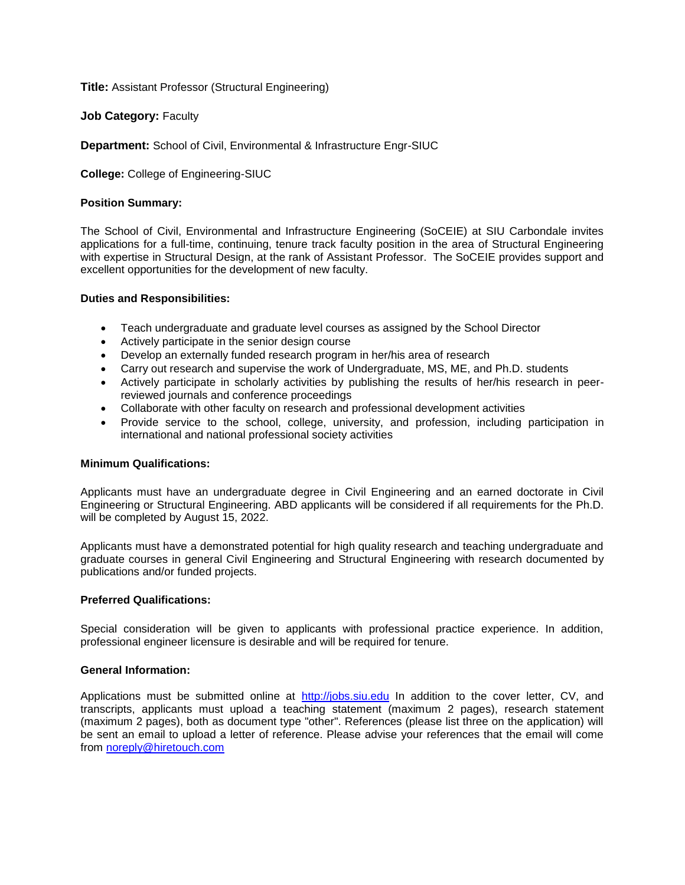**Title:** Assistant Professor (Structural Engineering)

**Job Category: Faculty** 

**Department:** School of Civil, Environmental & Infrastructure Engr-SIUC

**College:** College of Engineering-SIUC

# **Position Summary:**

The School of Civil, Environmental and Infrastructure Engineering (SoCEIE) at SIU Carbondale invites applications for a full-time, continuing, tenure track faculty position in the area of Structural Engineering with expertise in Structural Design, at the rank of Assistant Professor. The SoCEIE provides support and excellent opportunities for the development of new faculty.

# **Duties and Responsibilities:**

- Teach undergraduate and graduate level courses as assigned by the School Director
- Actively participate in the senior design course
- Develop an externally funded research program in her/his area of research
- Carry out research and supervise the work of Undergraduate, MS, ME, and Ph.D. students
- Actively participate in scholarly activities by publishing the results of her/his research in peerreviewed journals and conference proceedings
- Collaborate with other faculty on research and professional development activities
- Provide service to the school, college, university, and profession, including participation in international and national professional society activities

# **Minimum Qualifications:**

Applicants must have an undergraduate degree in Civil Engineering and an earned doctorate in Civil Engineering or Structural Engineering. ABD applicants will be considered if all requirements for the Ph.D. will be completed by August 15, 2022.

Applicants must have a demonstrated potential for high quality research and teaching undergraduate and graduate courses in general Civil Engineering and Structural Engineering with research documented by publications and/or funded projects.

# **Preferred Qualifications:**

Special consideration will be given to applicants with professional practice experience. In addition, professional engineer licensure is desirable and will be required for tenure.

# **General Information:**

Applications must be submitted online at [http://jobs.siu.edu](http://jobs.siu.edu/) In addition to the cover letter, CV, and transcripts, applicants must upload a teaching statement (maximum 2 pages), research statement (maximum 2 pages), both as document type "other". References (please list three on the application) will be sent an email to upload a letter of reference. Please advise your references that the email will come from [noreply@hiretouch.com](mailto:noreply@hiretouch.com)